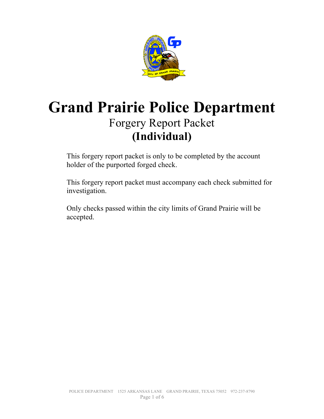

# **Grand Prairie Police Department** Forgery Report Packet **(Individual)**

 This forgery report packet is only to be completed by the account holder of the purported forged check.

 This forgery report packet must accompany each check submitted for investigation.

 Only checks passed within the city limits of Grand Prairie will be accepted.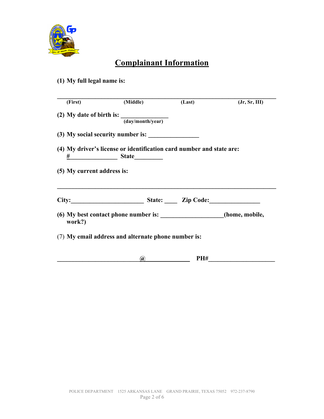

## **Complainant Information**

#### **(1) My full legal name is:**

| (First)                    | (Middle)                                                                                                                                                                                                                      | (Last) | (Jr, Sr, III) |
|----------------------------|-------------------------------------------------------------------------------------------------------------------------------------------------------------------------------------------------------------------------------|--------|---------------|
|                            | (2) My date of birth is: $\frac{1}{\sqrt{1-\frac{1}{2}}\sqrt{1-\frac{1}{2}}\sqrt{1-\frac{1}{2}}\sqrt{1-\frac{1}{2}}}}$                                                                                                        |        |               |
|                            | $\overline{\text{(day/month/year)}}$                                                                                                                                                                                          |        |               |
|                            |                                                                                                                                                                                                                               |        |               |
|                            | (4) My driver's license or identification card number and state are:<br>$\frac{\#}{\#}$ State                                                                                                                                 |        |               |
|                            |                                                                                                                                                                                                                               |        |               |
|                            |                                                                                                                                                                                                                               |        |               |
|                            |                                                                                                                                                                                                                               |        |               |
| (5) My current address is: | City: City: City: City: City: City: City: City: City: City: City: City: City: City: City: City: City: City: City: City: City: City: City: City: City: City: City: City: City: City: City: City: City: City: City: City: City: |        |               |
|                            |                                                                                                                                                                                                                               |        |               |
| work?)                     | (6) My best contact phone number is: ___________________(home, mobile,                                                                                                                                                        |        |               |
|                            |                                                                                                                                                                                                                               |        |               |
|                            | (7) My email address and alternate phone number is:                                                                                                                                                                           |        |               |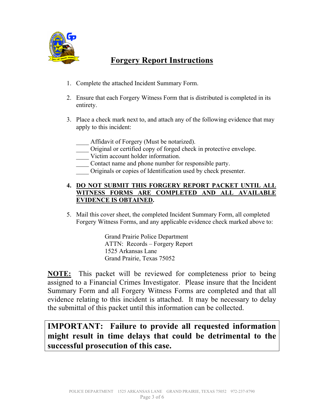

## **Forgery Report Instructions**

- 1. Complete the attached Incident Summary Form.
- 2. Ensure that each Forgery Witness Form that is distributed is completed in its entirety.
- 3. Place a check mark next to, and attach any of the following evidence that may apply to this incident:
	- Affidavit of Forgery (Must be notarized).
	- \_\_\_\_ Original or certified copy of forged check in protective envelope.
	- \_\_\_\_ Victim account holder information.
	- \_\_\_\_ Contact name and phone number for responsible party.
	- \_\_\_\_ Originals or copies of Identification used by check presenter.

#### **4. DO NOT SUBMIT THIS FORGERY REPORT PACKET UNTIL ALL WITNESS FORMS ARE COMPLETED AND ALL AVAILABLE EVIDENCE IS OBTAINED.**

5. Mail this cover sheet, the completed Incident Summary Form, all completed Forgery Witness Forms, and any applicable evidence check marked above to:

> Grand Prairie Police Department ATTN: Records – Forgery Report 1525 Arkansas Lane Grand Prairie, Texas 75052

**NOTE:** This packet will be reviewed for completeness prior to being assigned to a Financial Crimes Investigator. Please insure that the Incident Summary Form and all Forgery Witness Forms are completed and that all evidence relating to this incident is attached. It may be necessary to delay the submittal of this packet until this information can be collected.

### **IMPORTANT: Failure to provide all requested information might result in time delays that could be detrimental to the successful prosecution of this case.**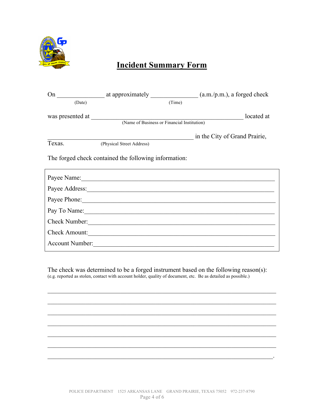

## **Incident Summary Form**

| (Date)                                                |                           | (Time) |                               |  |  |
|-------------------------------------------------------|---------------------------|--------|-------------------------------|--|--|
|                                                       |                           |        | located at                    |  |  |
|                                                       |                           |        |                               |  |  |
|                                                       |                           |        | in the City of Grand Prairie, |  |  |
| Texas.                                                | (Physical Street Address) |        |                               |  |  |
| The forged check contained the following information: |                           |        |                               |  |  |
|                                                       |                           |        |                               |  |  |
|                                                       |                           |        |                               |  |  |
|                                                       | Payee Phone: 2008         |        |                               |  |  |
|                                                       |                           |        | Pay To Name:                  |  |  |
|                                                       | Check Number:             |        |                               |  |  |
|                                                       | Check Amount:             |        |                               |  |  |
| <b>Account Number:</b>                                |                           |        |                               |  |  |

The check was determined to be a forged instrument based on the following reason(s): (e.g. reported as stolen, contact with account holder, quality of document, etc. Be as detailed as possible.)

 $\mathcal{L}_\text{max}$  , and the contribution of the contribution of the contribution of the contribution of the contribution of the contribution of the contribution of the contribution of the contribution of the contribution of t

 $\mathcal{L}_\text{max}$  , and the contribution of the contribution of the contribution of the contribution of the contribution of the contribution of the contribution of the contribution of the contribution of the contribution of t

 $\mathcal{L}_\text{max}$  , and the contribution of the contribution of the contribution of the contribution of the contribution of the contribution of the contribution of the contribution of the contribution of the contribution of t

 $\mathcal{L}_\text{max}$  , and the contribution of the contribution of the contribution of the contribution of the contribution of the contribution of the contribution of the contribution of the contribution of the contribution of t

 $\mathcal{L}_\text{max}$  , and the contribution of the contribution of the contribution of the contribution of the contribution of the contribution of the contribution of the contribution of the contribution of the contribution of t

 $\mathcal{L}_\text{max}$  , and the contribution of the contribution of the contribution of the contribution of the contribution of the contribution of the contribution of the contribution of the contribution of the contribution of t

 $\mathcal{L}_\text{max} = \mathcal{L}_\text{max} = \mathcal{L}_\text{max} = \mathcal{L}_\text{max} = \mathcal{L}_\text{max} = \mathcal{L}_\text{max} = \mathcal{L}_\text{max} = \mathcal{L}_\text{max} = \mathcal{L}_\text{max} = \mathcal{L}_\text{max} = \mathcal{L}_\text{max} = \mathcal{L}_\text{max} = \mathcal{L}_\text{max} = \mathcal{L}_\text{max} = \mathcal{L}_\text{max} = \mathcal{L}_\text{max} = \mathcal{L}_\text{max} = \mathcal{L}_\text{max} = \mathcal{$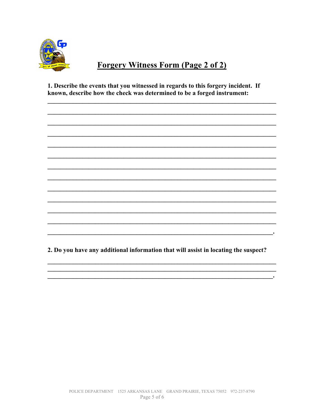

## **Forgery Witness Form (Page 2 of 2)**

1. Describe the events that you witnessed in regards to this forgery incident. If known, describe how the check was determined to be a forged instrument:

2. Do you have any additional information that will assist in locating the suspect?

<u>experimental control de la propincia de la propincia de la propincia de la propincia de la propincia de la propincia de la propincia de la propincia de la propincia de la propincia de la propincia de la propincia de la pr</u>